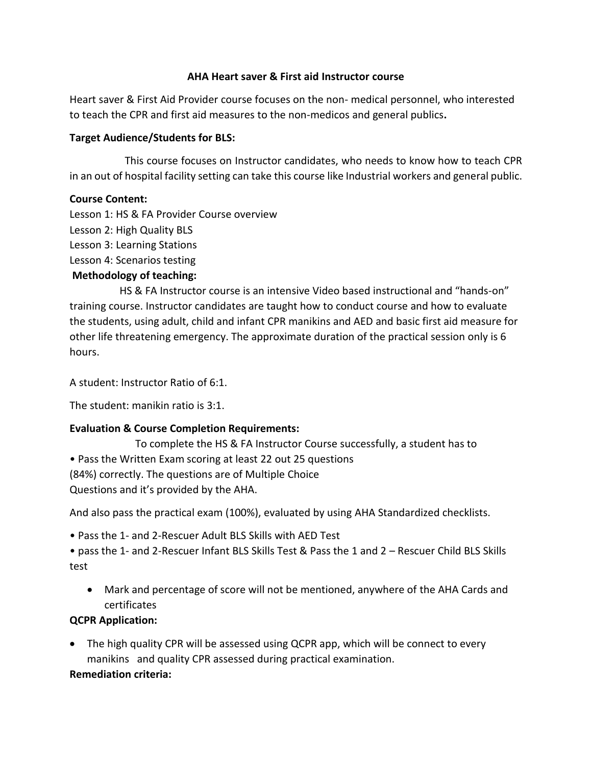#### **AHA Heart saver & First aid Instructor course**

Heart saver & First Aid Provider course focuses on the non- medical personnel, who interested to teach the CPR and first aid measures to the non-medicos and general publics**.**

#### **Target Audience/Students for BLS:**

 This course focuses on Instructor candidates, who needs to know how to teach CPR in an out of hospital facility setting can take this course like Industrial workers and general public.

#### **Course Content:**

Lesson 1: HS & FA Provider Course overview

- Lesson 2: High Quality BLS
- Lesson 3: Learning Stations

Lesson 4: Scenarios testing

## **Methodology of teaching:**

 HS & FA Instructor course is an intensive Video based instructional and "hands-on" training course. Instructor candidates are taught how to conduct course and how to evaluate the students, using adult, child and infant CPR manikins and AED and basic first aid measure for other life threatening emergency. The approximate duration of the practical session only is 6 hours.

A student: Instructor Ratio of 6:1.

The student: manikin ratio is 3:1.

## **Evaluation & Course Completion Requirements:**

 To complete the HS & FA Instructor Course successfully, a student has to • Pass the Written Exam scoring at least 22 out 25 questions (84%) correctly. The questions are of Multiple Choice Questions and it's provided by the AHA.

And also pass the practical exam (100%), evaluated by using AHA Standardized checklists.

• Pass the 1- and 2-Rescuer Adult BLS Skills with AED Test

• pass the 1- and 2-Rescuer Infant BLS Skills Test & Pass the 1 and 2 – Rescuer Child BLS Skills test

 Mark and percentage of score will not be mentioned, anywhere of the AHA Cards and certificates

## **QCPR Application:**

 The high quality CPR will be assessed using QCPR app, which will be connect to every manikins and quality CPR assessed during practical examination.

## **Remediation criteria:**